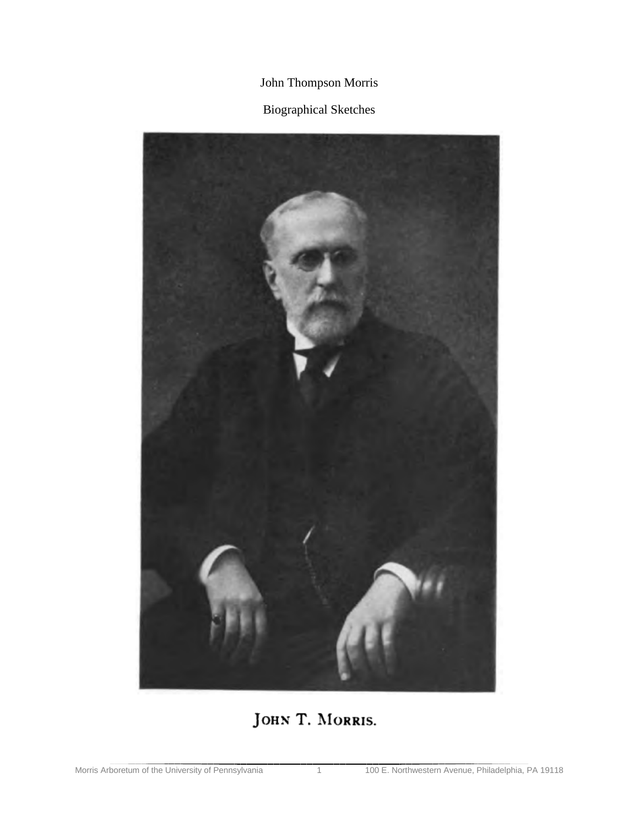## John Thompson Morris

## Biographical Sketches



## JOHN T. MORRIS.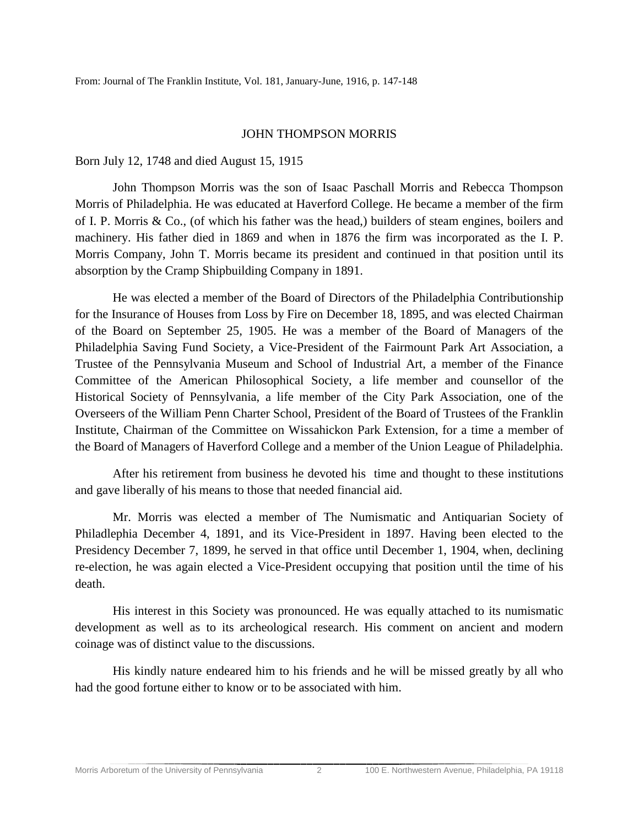## JOHN THOMPSON MORRIS

Born July 12, 1748 and died August 15, 1915

John Thompson Morris was the son of Isaac Paschall Morris and Rebecca Thompson Morris of Philadelphia. He was educated at Haverford College. He became a member of the firm of I. P. Morris & Co., (of which his father was the head,) builders of steam engines, boilers and machinery. His father died in 1869 and when in 1876 the firm was incorporated as the I. P. Morris Company, John T. Morris became its president and continued in that position until its absorption by the Cramp Shipbuilding Company in 1891.

He was elected a member of the Board of Directors of the Philadelphia Contributionship for the Insurance of Houses from Loss by Fire on December 18, 1895, and was elected Chairman of the Board on September 25, 1905. He was a member of the Board of Managers of the Philadelphia Saving Fund Society, a Vice-President of the Fairmount Park Art Association, a Trustee of the Pennsylvania Museum and School of Industrial Art, a member of the Finance Committee of the American Philosophical Society, a life member and counsellor of the Historical Society of Pennsylvania, a life member of the City Park Association, one of the Overseers of the William Penn Charter School, President of the Board of Trustees of the Franklin Institute, Chairman of the Committee on Wissahickon Park Extension, for a time a member of the Board of Managers of Haverford College and a member of the Union League of Philadelphia.

After his retirement from business he devoted his time and thought to these institutions and gave liberally of his means to those that needed financial aid.

Mr. Morris was elected a member of The Numismatic and Antiquarian Society of Philadlephia December 4, 1891, and its Vice-President in 1897. Having been elected to the Presidency December 7, 1899, he served in that office until December 1, 1904, when, declining re-election, he was again elected a Vice-President occupying that position until the time of his death.

His interest in this Society was pronounced. He was equally attached to its numismatic development as well as to its archeological research. His comment on ancient and modern coinage was of distinct value to the discussions.

His kindly nature endeared him to his friends and he will be missed greatly by all who had the good fortune either to know or to be associated with him.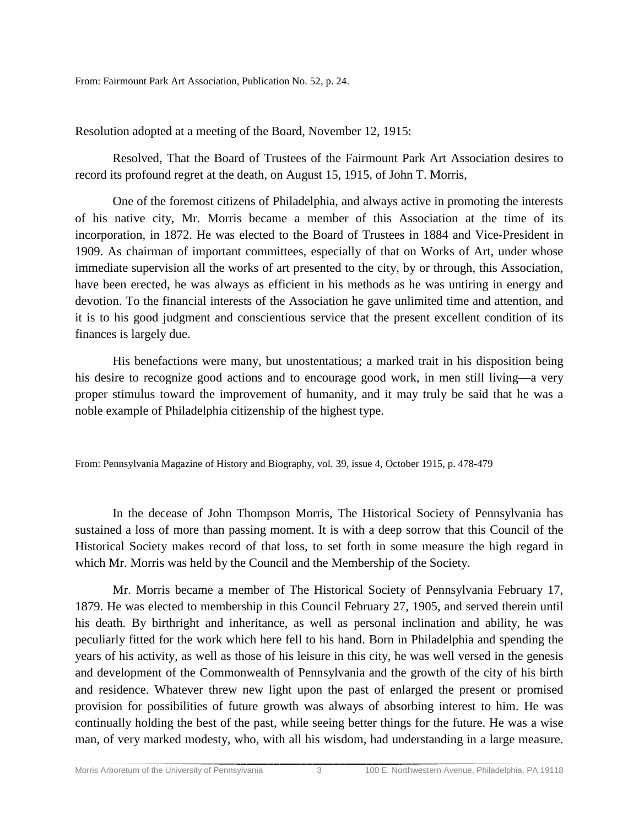From: Fairmount Park Art Association, Publication No. 52, p. 24.

Resolution adopted at a meeting of the Board, November 12, 1915:

Resolved, That the Board of Trustees of the Fairmount Park Art Association desires to record its profound regret at the death, on August 15, 1915, of John T. Morris,

One of the foremost citizens of Philadelphia, and always active in promoting the interests of his native city, Mr. Morris became a member of this Association at the time of its incorporation, in 1872. He was elected to the Board of Trustees in 1884 and Vice-President in 1909. As chairman of important committees, especially of that on Works of Art, under whose immediate supervision all the works of art presented to the city, by or through, this Association, have been erected, he was always as efficient in his methods as he was untiring in energy and devotion. To the financial interests of the Association he gave unlimited time and attention, and it is to his good judgment and conscientious service that the present excellent condition of its finances is largely due.

His benefactions were many, but unostentatious; a marked trait in his disposition being his desire to recognize good actions and to encourage good work, in men still living—a very proper stimulus toward the improvement of humanity, and it may truly be said that he was a noble example of Philadelphia citizenship of the highest type.

From: Pennsylvania Magazine of History and Biography, vol. 39, issue 4, October 1915, p. 478-479

In the decease of John Thompson Morris, The Historical Society of Pennsylvania has sustained a loss of more than passing moment. It is with a deep sorrow that this Council of the Historical Society makes record of that loss, to set forth in some measure the high regard in which Mr. Morris was held by the Council and the Membership of the Society.

Mr. Morris became a member of The Historical Society of Pennsylvania February 17, 1879. He was elected to membership in this Council February 27, 1905, and served therein until his death. By birthright and inheritance, as well as personal inclination and ability, he was peculiarly fitted for the work which here fell to his hand. Born in Philadelphia and spending the years of his activity, as well as those of his leisure in this city, he was well versed in the genesis and development of the Commonwealth of Pennsylvania and the growth of the city of his birth and residence. Whatever threw new light upon the past of enlarged the present or promised provision for possibilities of future growth was always of absorbing interest to him. He was continually holding the best of the past, while seeing better things for the future. He was a wise man, of very marked modesty, who, with all his wisdom, had understanding in a large measure.